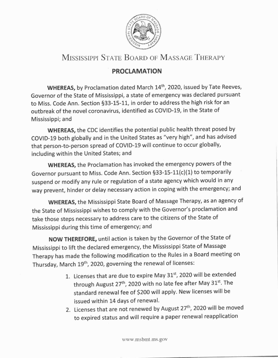

## MISSISSIPPI STATE BOARD OF MASSAGE THERAPY

## PROCLAMATION

WHEREAS, by Proclamation dated March 14<sup>th</sup>, 2020, issued by Tate Reeves, Governor of the State of Mississippi, a state of emergency was declared pursuant to Miss. Code Ann. Section 533-15-11, in order to address the high risk for an outbreak of the novel coronavirus, identified as COVID-19, in the State of Mississippi; and

WHEREAS, the CDC identifies the potential public health threat posed by COVID-19 both globally and in the United States as "very high", and has advised that person-to-person spread of COVID-19 will continue to occur globally, including within the United States; and

WHEREAS, the Proclamation has invoked the emergency powers of the Governor pursuant to Miss. Code Ann. Section §33-15-11(c)(1) to temporarily suspend or modify any rule or regulation of a state agency which would in any way prevent, hinder or delay necessary action in coping with the emergency; and

WHEREAS, the Mississippi State Board of Massage Therapy, as an agency of the State of Mississippi wishes to comply with the Governor's proclamation and take those steps necessary to address care to the citizens of the State of Mississippi during this time of emergency; and

NOW THEREFORE, until action is taken by the Governor of the State of Mississippi to lift the declared emergency, the Mississippi state of Massage Therapy has made the following modification to the Rules in a Board meeting on Thursday, March 19<sup>th</sup>, 2020, governing the renewal of licenses:

- 1. Licenses that are due to expire May 31st, 2020 will be extended through August 27<sup>th</sup>, 2020 with no late fee after May 31<sup>st</sup>. The standard renewal fee of \$200 will apply. New licenses will be issued within 14 days of renewal.
- 2. Licenses that are not renewed by August 27<sup>th</sup>, 2020 will be moved to expired status and will require a paper renewal reapplication

www.msbmt.ms.gov